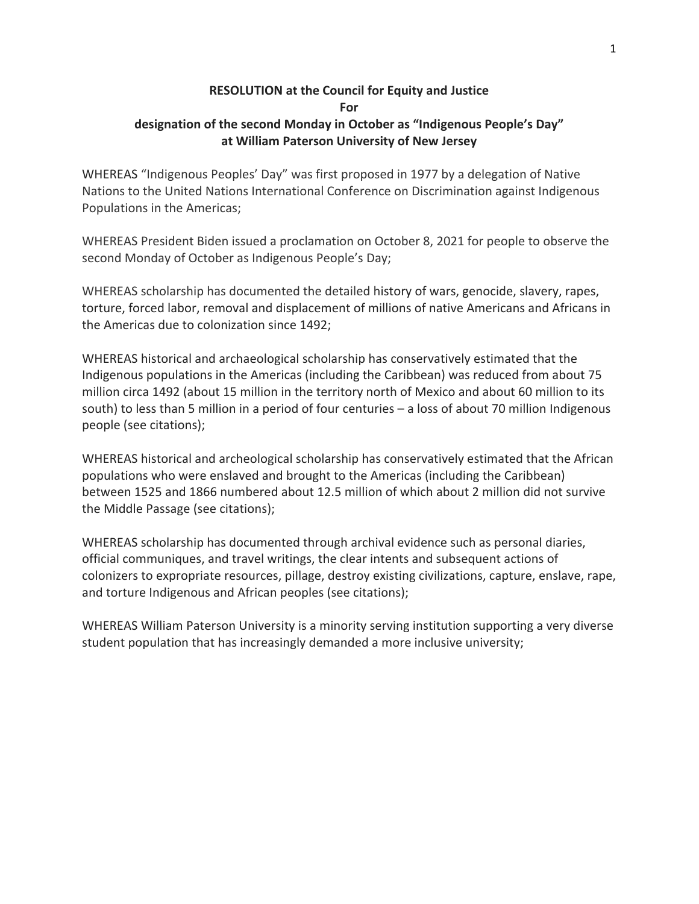## **RESOLUTION at the Council for Equity and Justice For designation of the second Monday in October as "Indigenous People's Day" at William Paterson University of New Jersey**

WHEREAS "Indigenous Peoples' Day" was first proposed in 1977 by a delegation of Native Nations to the United Nations International Conference on Discrimination against Indigenous Populations in the Americas;

WHEREAS President Biden issued a proclamation on October 8, 2021 for people to observe the second Monday of October as Indigenous People's Day;

WHEREAS scholarship has documented the detailed history of wars, genocide, slavery, rapes, torture, forced labor, removal and displacement of millions of native Americans and Africans in the Americas due to colonization since 1492;

WHEREAS historical and archaeological scholarship has conservatively estimated that the Indigenous populations in the Americas (including the Caribbean) was reduced from about 75 million circa 1492 (about 15 million in the territory north of Mexico and about 60 million to its south) to less than 5 million in a period of four centuries – a loss of about 70 million Indigenous people (see citations);

WHEREAS historical and archeological scholarship has conservatively estimated that the African populations who were enslaved and brought to the Americas (including the Caribbean) between 1525 and 1866 numbered about 12.5 million of which about 2 million did not survive the Middle Passage (see citations);

WHEREAS scholarship has documented through archival evidence such as personal diaries, official communiques, and travel writings, the clear intents and subsequent actions of colonizers to expropriate resources, pillage, destroy existing civilizations, capture, enslave, rape, and torture Indigenous and African peoples (see citations);

WHEREAS William Paterson University is a minority serving institution supporting a very diverse student population that has increasingly demanded a more inclusive university;